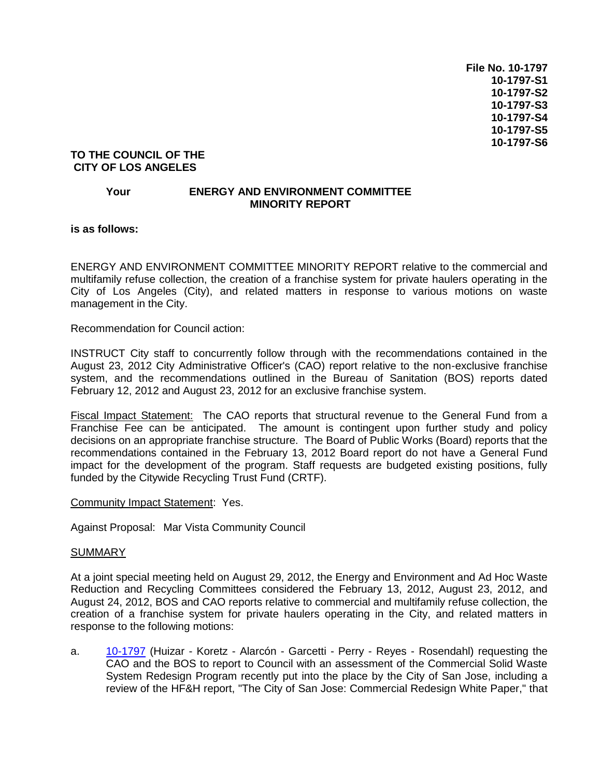**File No. 10-1797 10-1797-S1 10-1797-S2 10-1797-S3 10-1797-S4 10-1797-S5 10-1797-S6**

## **TO THE COUNCIL OF THE CITY OF LOS ANGELES**

## **Your ENERGY AND ENVIRONMENT COMMITTEE MINORITY REPORT**

**is as follows:**

ENERGY AND ENVIRONMENT COMMITTEE MINORITY REPORT relative to the commercial and multifamily refuse collection, the creation of a franchise system for private haulers operating in the City of Los Angeles (City), and related matters in response to various motions on waste management in the City.

Recommendation for Council action:

INSTRUCT City staff to concurrently follow through with the recommendations contained in the August 23, 2012 City Administrative Officer's (CAO) report relative to the non-exclusive franchise system, and the recommendations outlined in the Bureau of Sanitation (BOS) reports dated February 12, 2012 and August 23, 2012 for an exclusive franchise system.

Fiscal Impact Statement: The CAO reports that structural revenue to the General Fund from a Franchise Fee can be anticipated. The amount is contingent upon further study and policy decisions on an appropriate franchise structure. The Board of Public Works (Board) reports that the recommendations contained in the February 13, 2012 Board report do not have a General Fund impact for the development of the program. Staff requests are budgeted existing positions, fully funded by the Citywide Recycling Trust Fund (CRTF).

Community Impact Statement: Yes.

Against Proposal: Mar Vista Community Council

## **SUMMARY**

At a joint special meeting held on August 29, 2012, the Energy and Environment and Ad Hoc Waste Reduction and Recycling Committees considered the February 13, 2012, August 23, 2012, and August 24, 2012, BOS and CAO reports relative to commercial and multifamily refuse collection, the creation of a franchise system for private haulers operating in the City, and related matters in response to the following motions:

a. [10-1797](http://cityclerk.lacity.org/lacityclerkconnect/index.cfm?fa=ccfi.viewrecord&cfnumber=10-1797) (Huizar - Koretz - Alarcón - Garcetti - Perry - Reyes - Rosendahl) requesting the CAO and the BOS to report to Council with an assessment of the Commercial Solid Waste System Redesign Program recently put into the place by the City of San Jose, including a review of the HF&H report, "The City of San Jose: Commercial Redesign White Paper," that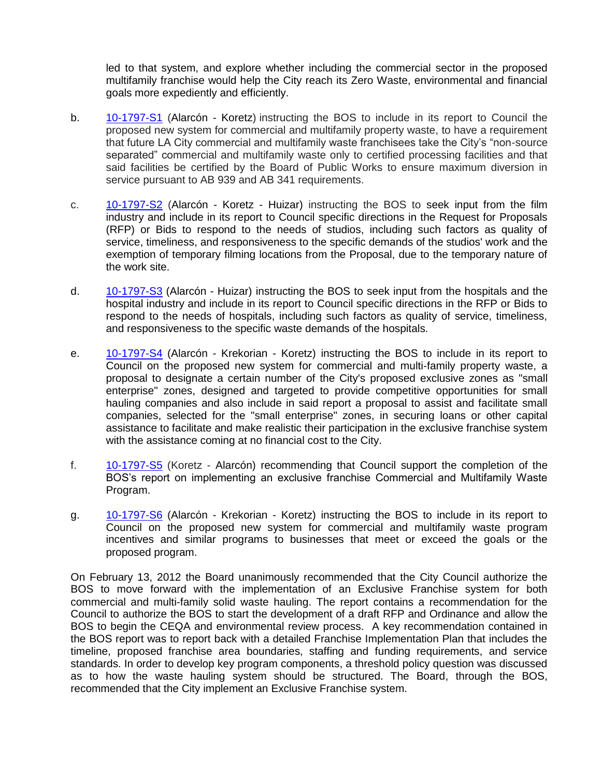led to that system, and explore whether including the commercial sector in the proposed multifamily franchise would help the City reach its Zero Waste, environmental and financial goals more expediently and efficiently.

- b. [10-1797-S1](http://cityclerk.lacity.org/lacityclerkconnect/index.cfm?fa=ccfi.viewrecord&cfnumber=10-1797-S1) (Alarcón Koretz) instructing the BOS to include in its report to Council the proposed new system for commercial and multifamily property waste, to have a requirement that future LA City commercial and multifamily waste franchisees take the City's "non-source separated" commercial and multifamily waste only to certified processing facilities and that said facilities be certified by the Board of Public Works to ensure maximum diversion in service pursuant to AB 939 and AB 341 requirements.
- c. [10-1797-S2](http://cityclerk.lacity.org/lacityclerkconnect/index.cfm?fa=ccfi.viewrecord&cfnumber=10-1797-S2) (Alarcón Koretz Huizar) instructing the BOS to seek input from the film industry and include in its report to Council specific directions in the Request for Proposals (RFP) or Bids to respond to the needs of studios, including such factors as quality of service, timeliness, and responsiveness to the specific demands of the studios' work and the exemption of temporary filming locations from the Proposal, due to the temporary nature of the work site.
- d. [10-1797-S3](http://cityclerk.lacity.org/lacityclerkconnect/index.cfm?fa=ccfi.viewrecord&cfnumber=10-1797-S3) (Alarcón Huizar) instructing the BOS to seek input from the hospitals and the hospital industry and include in its report to Council specific directions in the RFP or Bids to respond to the needs of hospitals, including such factors as quality of service, timeliness, and responsiveness to the specific waste demands of the hospitals.
- e. [10-1797-S4](http://cityclerk.lacity.org/lacityclerkconnect/index.cfm?fa=ccfi.viewrecord&cfnumber=10-1797-S4) (Alarcón Krekorian Koretz) instructing the BOS to include in its report to Council on the proposed new system for commercial and multi-family property waste, a proposal to designate a certain number of the City's proposed exclusive zones as "small enterprise" zones, designed and targeted to provide competitive opportunities for small hauling companies and also include in said report a proposal to assist and facilitate small companies, selected for the "small enterprise" zones, in securing loans or other capital assistance to facilitate and make realistic their participation in the exclusive franchise system with the assistance coming at no financial cost to the City.
- f. [10-1797-S5](http://cityclerk.lacity.org/lacityclerkconnect/index.cfm?fa=ccfi.viewrecord&cfnumber=10-1797-S5) (Koretz Alarcón) recommending that Council support the completion of the BOS's report on implementing an exclusive franchise Commercial and Multifamily Waste Program.
- g. [10-1797-S6](http://cityclerk.lacity.org/lacityclerkconnect/index.cfm?fa=ccfi.viewrecord&cfnumber=10-1797-S6) (Alarcón Krekorian Koretz) instructing the BOS to include in its report to Council on the proposed new system for commercial and multifamily waste program incentives and similar programs to businesses that meet or exceed the goals or the proposed program.

On February 13, 2012 the Board unanimously recommended that the City Council authorize the BOS to move forward with the implementation of an Exclusive Franchise system for both commercial and multi-family solid waste hauling. The report contains a recommendation for the Council to authorize the BOS to start the development of a draft RFP and Ordinance and allow the BOS to begin the CEQA and environmental review process. A key recommendation contained in the BOS report was to report back with a detailed Franchise Implementation Plan that includes the timeline, proposed franchise area boundaries, staffing and funding requirements, and service standards. In order to develop key program components, a threshold policy question was discussed as to how the waste hauling system should be structured. The Board, through the BOS, recommended that the City implement an Exclusive Franchise system.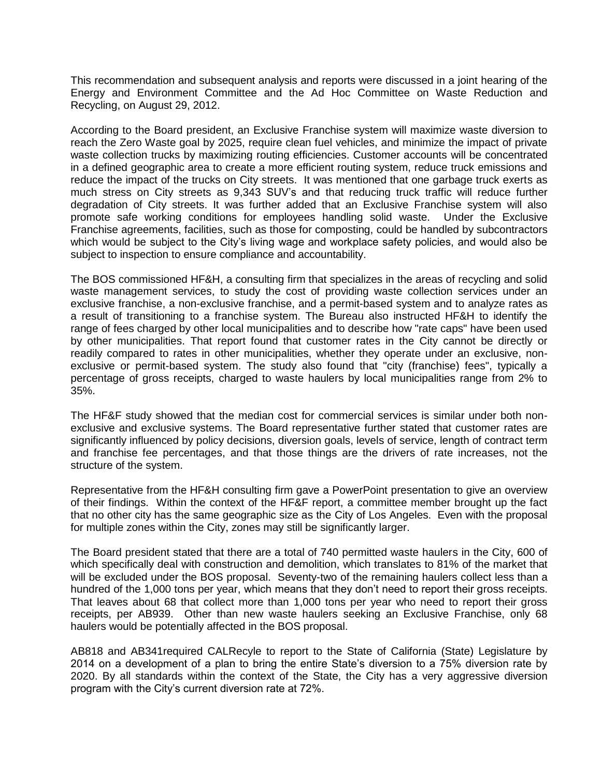This recommendation and subsequent analysis and reports were discussed in a joint hearing of the Energy and Environment Committee and the Ad Hoc Committee on Waste Reduction and Recycling, on August 29, 2012.

According to the Board president, an Exclusive Franchise system will maximize waste diversion to reach the Zero Waste goal by 2025, require clean fuel vehicles, and minimize the impact of private waste collection trucks by maximizing routing efficiencies. Customer accounts will be concentrated in a defined geographic area to create a more efficient routing system, reduce truck emissions and reduce the impact of the trucks on City streets. It was mentioned that one garbage truck exerts as much stress on City streets as 9,343 SUV's and that reducing truck traffic will reduce further degradation of City streets. It was further added that an Exclusive Franchise system will also promote safe working conditions for employees handling solid waste. Under the Exclusive Franchise agreements, facilities, such as those for composting, could be handled by subcontractors which would be subject to the City's living wage and workplace safety policies, and would also be subject to inspection to ensure compliance and accountability.

The BOS commissioned HF&H, a consulting firm that specializes in the areas of recycling and solid waste management services, to study the cost of providing waste collection services under an exclusive franchise, a non-exclusive franchise, and a permit-based system and to analyze rates as a result of transitioning to a franchise system. The Bureau also instructed HF&H to identify the range of fees charged by other local municipalities and to describe how "rate caps" have been used by other municipalities. That report found that customer rates in the City cannot be directly or readily compared to rates in other municipalities, whether they operate under an exclusive, nonexclusive or permit-based system. The study also found that "city (franchise) fees", typically a percentage of gross receipts, charged to waste haulers by local municipalities range from 2% to 35%.

The HF&F study showed that the median cost for commercial services is similar under both nonexclusive and exclusive systems. The Board representative further stated that customer rates are significantly influenced by policy decisions, diversion goals, levels of service, length of contract term and franchise fee percentages, and that those things are the drivers of rate increases, not the structure of the system.

Representative from the HF&H consulting firm gave a PowerPoint presentation to give an overview of their findings. Within the context of the HF&F report, a committee member brought up the fact that no other city has the same geographic size as the City of Los Angeles. Even with the proposal for multiple zones within the City, zones may still be significantly larger.

The Board president stated that there are a total of 740 permitted waste haulers in the City, 600 of which specifically deal with construction and demolition, which translates to 81% of the market that will be excluded under the BOS proposal. Seventy-two of the remaining haulers collect less than a hundred of the 1,000 tons per year, which means that they don't need to report their gross receipts. That leaves about 68 that collect more than 1,000 tons per year who need to report their gross receipts, per AB939. Other than new waste haulers seeking an Exclusive Franchise, only 68 haulers would be potentially affected in the BOS proposal.

AB818 and AB341required CALRecyle to report to the State of California (State) Legislature by 2014 on a development of a plan to bring the entire State's diversion to a 75% diversion rate by 2020. By all standards within the context of the State, the City has a very aggressive diversion program with the City's current diversion rate at 72%.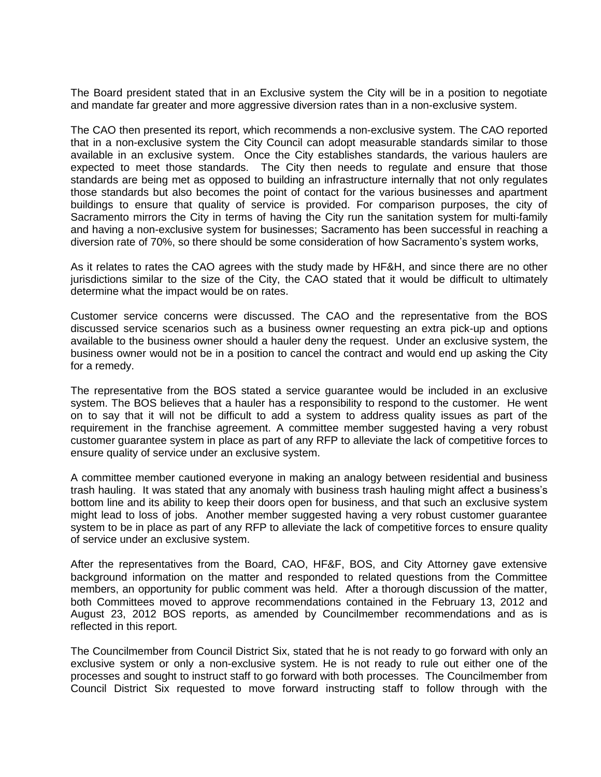The Board president stated that in an Exclusive system the City will be in a position to negotiate and mandate far greater and more aggressive diversion rates than in a non-exclusive system.

The CAO then presented its report, which recommends a non-exclusive system. The CAO reported that in a non-exclusive system the City Council can adopt measurable standards similar to those available in an exclusive system. Once the City establishes standards, the various haulers are expected to meet those standards. The City then needs to regulate and ensure that those standards are being met as opposed to building an infrastructure internally that not only regulates those standards but also becomes the point of contact for the various businesses and apartment buildings to ensure that quality of service is provided. For comparison purposes, the city of Sacramento mirrors the City in terms of having the City run the sanitation system for multi-family and having a non-exclusive system for businesses; Sacramento has been successful in reaching a diversion rate of 70%, so there should be some consideration of how Sacramento's system works,

As it relates to rates the CAO agrees with the study made by HF&H, and since there are no other jurisdictions similar to the size of the City, the CAO stated that it would be difficult to ultimately determine what the impact would be on rates.

Customer service concerns were discussed. The CAO and the representative from the BOS discussed service scenarios such as a business owner requesting an extra pick-up and options available to the business owner should a hauler deny the request. Under an exclusive system, the business owner would not be in a position to cancel the contract and would end up asking the City for a remedy.

The representative from the BOS stated a service guarantee would be included in an exclusive system. The BOS believes that a hauler has a responsibility to respond to the customer. He went on to say that it will not be difficult to add a system to address quality issues as part of the requirement in the franchise agreement. A committee member suggested having a very robust customer guarantee system in place as part of any RFP to alleviate the lack of competitive forces to ensure quality of service under an exclusive system.

A committee member cautioned everyone in making an analogy between residential and business trash hauling. It was stated that any anomaly with business trash hauling might affect a business's bottom line and its ability to keep their doors open for business, and that such an exclusive system might lead to loss of jobs. Another member suggested having a very robust customer guarantee system to be in place as part of any RFP to alleviate the lack of competitive forces to ensure quality of service under an exclusive system.

After the representatives from the Board, CAO, HF&F, BOS, and City Attorney gave extensive background information on the matter and responded to related questions from the Committee members, an opportunity for public comment was held. After a thorough discussion of the matter, both Committees moved to approve recommendations contained in the February 13, 2012 and August 23, 2012 BOS reports, as amended by Councilmember recommendations and as is reflected in this report.

The Councilmember from Council District Six, stated that he is not ready to go forward with only an exclusive system or only a non-exclusive system. He is not ready to rule out either one of the processes and sought to instruct staff to go forward with both processes. The Councilmember from Council District Six requested to move forward instructing staff to follow through with the